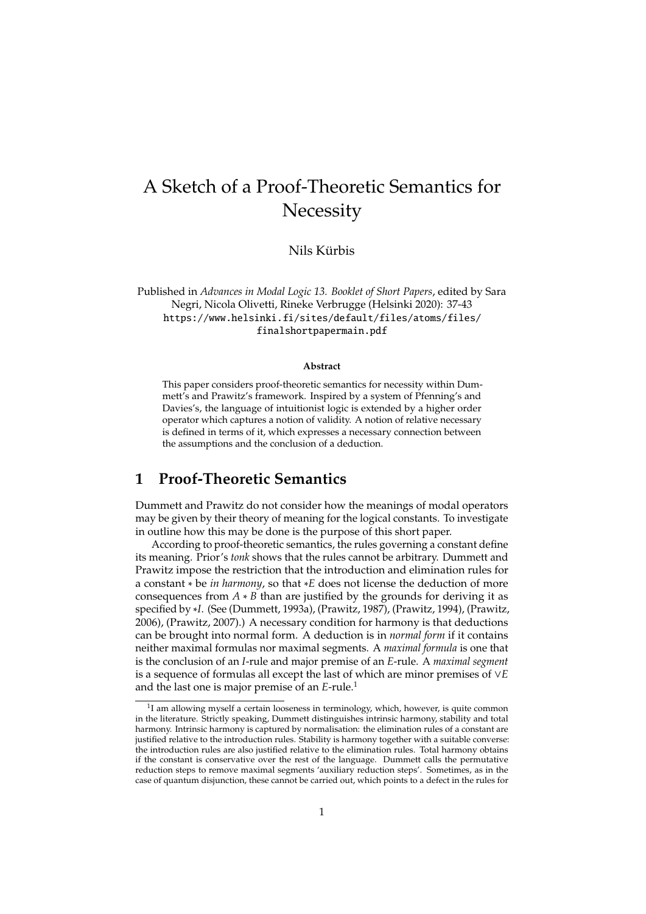# A Sketch of a Proof-Theoretic Semantics for **Necessity**

Nils Kürbis

Published in *Advances in Modal Logic 13. Booklet of Short Papers*, edited by Sara Negri, Nicola Olivetti, Rineke Verbrugge (Helsinki 2020): 37-43 https://www.helsinki.fi/sites/default/files/atoms/files/ finalshortpapermain.pdf

#### **Abstract**

This paper considers proof-theoretic semantics for necessity within Dummett's and Prawitz's framework. Inspired by a system of Pfenning's and Davies's, the language of intuitionist logic is extended by a higher order operator which captures a notion of validity. A notion of relative necessary is defined in terms of it, which expresses a necessary connection between the assumptions and the conclusion of a deduction.

### **1 Proof-Theoretic Semantics**

Dummett and Prawitz do not consider how the meanings of modal operators may be given by their theory of meaning for the logical constants. To investigate in outline how this may be done is the purpose of this short paper.

According to proof-theoretic semantics, the rules governing a constant define its meaning. Prior's *tonk* shows that the rules cannot be arbitrary. Dummett and Prawitz impose the restriction that the introduction and elimination rules for a constant ∗ be *in harmony*, so that ∗*E* does not license the deduction of more consequences from  $A * B$  than are justified by the grounds for deriving it as specified by ∗*I*. (See (Dummett, 1993a), (Prawitz, 1987), (Prawitz, 1994), (Prawitz, 2006), (Prawitz, 2007).) A necessary condition for harmony is that deductions can be brought into normal form. A deduction is in *normal form* if it contains neither maximal formulas nor maximal segments. A *maximal formula* is one that is the conclusion of an *I*-rule and major premise of an *E*-rule. A *maximal segment* is a sequence of formulas all except the last of which are minor premises of ∨*E* and the last one is major premise of an *E*-rule.<sup>1</sup>

<sup>&</sup>lt;sup>1</sup>I am allowing myself a certain looseness in terminology, which, however, is quite common in the literature. Strictly speaking, Dummett distinguishes intrinsic harmony, stability and total harmony. Intrinsic harmony is captured by normalisation: the elimination rules of a constant are justified relative to the introduction rules. Stability is harmony together with a suitable converse: the introduction rules are also justified relative to the elimination rules. Total harmony obtains if the constant is conservative over the rest of the language. Dummett calls the permutative reduction steps to remove maximal segments 'auxiliary reduction steps'. Sometimes, as in the case of quantum disjunction, these cannot be carried out, which points to a defect in the rules for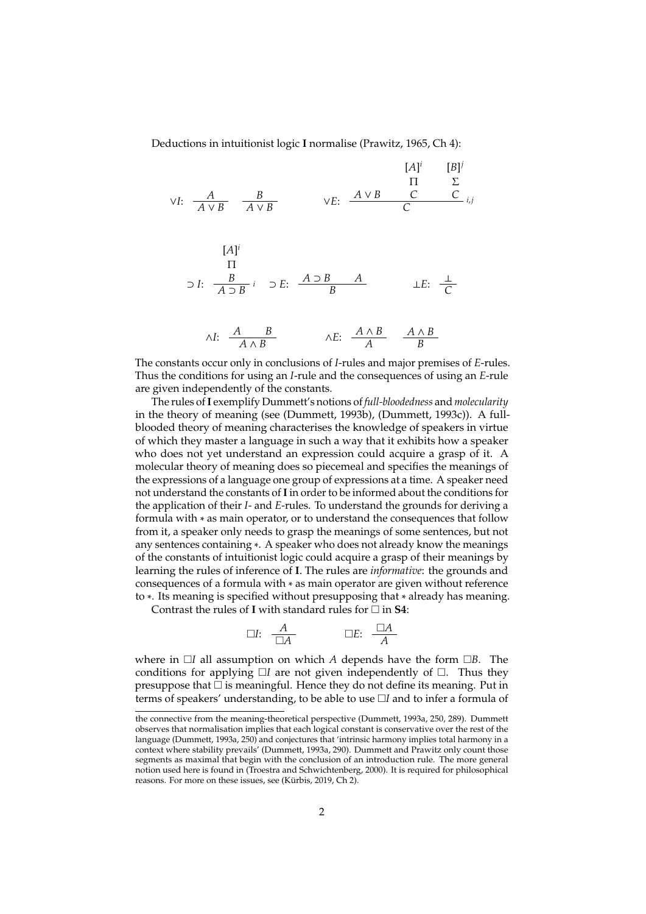Deductions in intuitionist logic **I** normalise (Prawitz, 1965, Ch 4):

$$
\begin{array}{cccc}\n & & & & & & & [A]^i & [B]^j \\
\downarrow & & & & \Pi & \Sigma \\
\hline\n\vdots & & & & \downarrow & \mathbb{R} \\
 & & & A \vee B & & & \mathbb{C} \\
 & & & & & \mathbb{C} \\
 & & & & & \mathbb{C} \\
 & & & & & \mathbb{C} \\
 & & & & & \mathbb{C} \\
 & & & & & \mathbb{C} \\
 & & & & & \mathbb{C} \\
 & & & & & \mathbb{C} \\
 & & & & & \mathbb{C} \\
 & & & & & \mathbb{C} \\
 & & & & & \mathbb{C} \\
 & & & & & \mathbb{C} \\
 & & & & & \mathbb{C} \\
 & & & & & & \mathbb{C}\n\end{array}
$$

$$
\wedge I: \quad \frac{A}{A \wedge B} \qquad \qquad \wedge E: \quad \frac{A \wedge B}{A} \qquad \frac{A \wedge B}{B}
$$

The constants occur only in conclusions of *I*-rules and major premises of *E*-rules. Thus the conditions for using an *I*-rule and the consequences of using an *E*-rule are given independently of the constants.

The rules of**I** exemplify Dummett's notions of *full-bloodedness* and *molecularity* in the theory of meaning (see (Dummett, 1993b), (Dummett, 1993c)). A fullblooded theory of meaning characterises the knowledge of speakers in virtue of which they master a language in such a way that it exhibits how a speaker who does not yet understand an expression could acquire a grasp of it. A molecular theory of meaning does so piecemeal and specifies the meanings of the expressions of a language one group of expressions at a time. A speaker need not understand the constants of**I**in order to be informed about the conditions for the application of their *I*- and *E*-rules. To understand the grounds for deriving a formula with ∗ as main operator, or to understand the consequences that follow from it, a speaker only needs to grasp the meanings of some sentences, but not any sentences containing ∗. A speaker who does not already know the meanings of the constants of intuitionist logic could acquire a grasp of their meanings by learning the rules of inference of **I**. The rules are *informative*: the grounds and consequences of a formula with ∗ as main operator are given without reference to ∗. Its meaning is specified without presupposing that ∗ already has meaning.

Contrast the rules of **I** with standard rules for  $\Box$  in **S4**:

$$
\Box I: \quad \frac{A}{\Box A} \qquad \qquad \Box E: \quad \frac{\Box A}{A}
$$

where in  $\Box I$  all assumption on which *A* depends have the form  $\Box B$ . The conditions for applying  $\Box I$  are not given independently of  $\Box$ . Thus they presuppose that  $\square$  is meaningful. Hence they do not define its meaning. Put in terms of speakers' understanding, to be able to use □I and to infer a formula of

the connective from the meaning-theoretical perspective (Dummett, 1993a, 250, 289). Dummett observes that normalisation implies that each logical constant is conservative over the rest of the language (Dummett, 1993a, 250) and conjectures that 'intrinsic harmony implies total harmony in a context where stability prevails' (Dummett, 1993a, 290). Dummett and Prawitz only count those segments as maximal that begin with the conclusion of an introduction rule. The more general notion used here is found in (Troestra and Schwichtenberg, 2000). It is required for philosophical reasons. For more on these issues, see (Kürbis, 2019, Ch 2).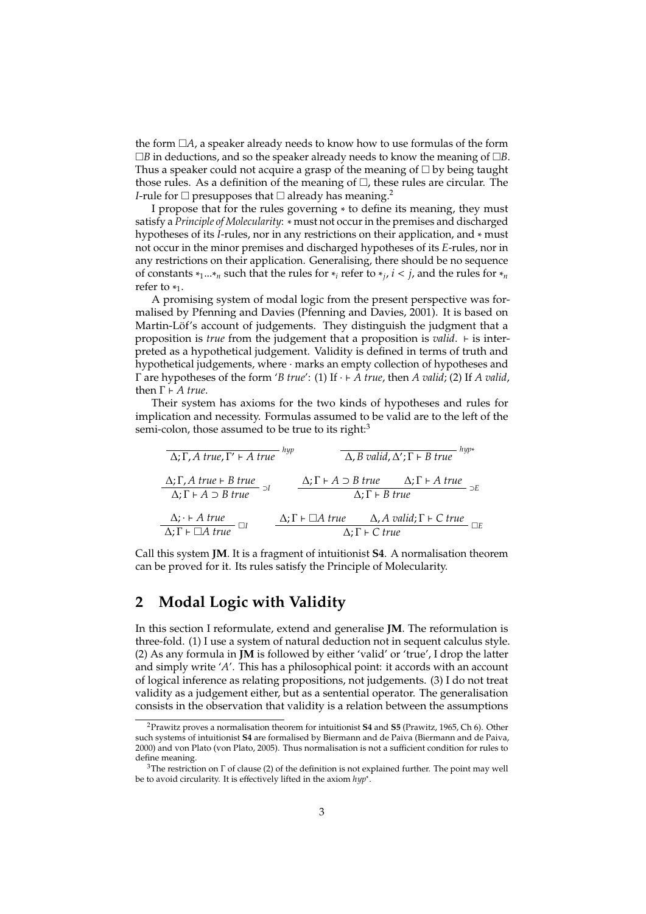the form  $\Box A$ , a speaker already needs to know how to use formulas of the form *B* in deductions, and so the speaker already needs to know the meaning of *B*. Thus a speaker could not acquire a grasp of the meaning of  $\Box$  by being taught those rules. As a definition of the meaning of  $\Box$ , these rules are circular. The *I*-rule for  $\Box$  presupposes that  $\Box$  already has meaning.<sup>2</sup>

I propose that for the rules governing ∗ to define its meaning, they must satisfy a *Principle of Molecularity*: ∗ must not occur in the premises and discharged hypotheses of its *I*-rules, nor in any restrictions on their application, and ∗ must not occur in the minor premises and discharged hypotheses of its *E*-rules, nor in any restrictions on their application. Generalising, there should be no sequence of constants ∗1...∗*<sup>n</sup>* such that the rules for ∗*<sup>i</sup>* refer to ∗*<sup>j</sup>* , *i* < *j*, and the rules for ∗*<sup>n</sup>* refer to  $*_{1}$ .

A promising system of modal logic from the present perspective was formalised by Pfenning and Davies (Pfenning and Davies, 2001). It is based on Martin-Löf's account of judgements. They distinguish the judgment that a proposition is *true* from the judgement that a proposition is *valid*.  $\vdash$  is interpreted as a hypothetical judgement. Validity is defined in terms of truth and hypothetical judgements, where · marks an empty collection of hypotheses and  $Γ$  are hypotheses of the form  $'B$  *true*': (1) If  $·$  *+ A true*, then *A valid*; (2) If *A valid*, then  $Γ$  *⊦ A true*.

Their system has axioms for the two kinds of hypotheses and rules for implication and necessity. Formulas assumed to be valid are to the left of the semi-colon, those assumed to be true to its right:<sup>3</sup>

| $\overline{\Delta; \Gamma, A \, true, \Gamma' \vdash A \, true}$                                | hyp |                                     | $\Delta$ , B valid, $\Delta'$ ; $\Gamma$ + B true                             | hyp* |
|-------------------------------------------------------------------------------------------------|-----|-------------------------------------|-------------------------------------------------------------------------------|------|
| $\Delta$ ; $\Gamma$ , A true $\vdash$ B true<br>$\Delta$ ; $\Gamma$ $\vdash$ A $\supset$ B true |     | $\Delta$ ; $\Gamma$ + <i>B</i> true | $\Delta; \Gamma \vdash A \supset B$ true $\Delta; \Gamma \vdash A$ true       |      |
| $\Delta$ ; $\vdash$ A true<br>$\overline{\Delta}$ ; $\Gamma \vdash \Box A$ true                 |     | $\Delta$ ; $\Gamma \vdash C$ true   | $\Delta; \Gamma \vdash \Box A$ true $\Delta, A$ valid; $\Gamma \vdash C$ true |      |

Call this system **JM**. It is a fragment of intuitionist **S4**. A normalisation theorem can be proved for it. Its rules satisfy the Principle of Molecularity.

## **2 Modal Logic with Validity**

In this section I reformulate, extend and generalise **JM**. The reformulation is three-fold. (1) I use a system of natural deduction not in sequent calculus style. (2) As any formula in **JM** is followed by either 'valid' or 'true', I drop the latter and simply write '*A*'. This has a philosophical point: it accords with an account of logical inference as relating propositions, not judgements. (3) I do not treat validity as a judgement either, but as a sentential operator. The generalisation consists in the observation that validity is a relation between the assumptions

<sup>2</sup>Prawitz proves a normalisation theorem for intuitionist **S4** and **S5** (Prawitz, 1965, Ch 6). Other such systems of intuitionist **S4** are formalised by Biermann and de Paiva (Biermann and de Paiva, 2000) and von Plato (von Plato, 2005). Thus normalisation is not a sufficient condition for rules to define meaning.

<sup>3</sup>The restriction on Γ of clause (2) of the definition is not explained further. The point may well be to avoid circularity. It is effectively lifted in the axiom *hyp*<sup>∗</sup> .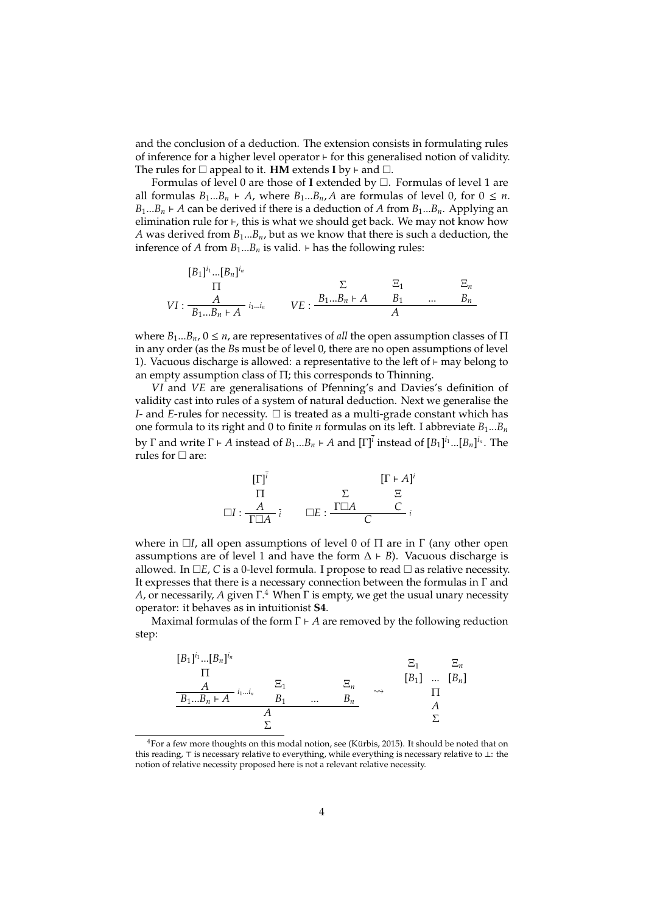and the conclusion of a deduction. The extension consists in formulating rules of inference for a higher level operator  $\vdash$  for this generalised notion of validity. The rules for  $\square$  appeal to it. **HM** extends **I** by  $\vdash$  and  $\square$ .

Formulas of level 0 are those of I extended by  $\Box$ . Formulas of level 1 are all formulas  $B_1...B_n$   $\vdash$  *A*, where  $B_1...B_n$ , *A* are formulas of level 0, for  $0 \le n$ .  $B_1...B_n \in A$  can be derived if there is a deduction of *A* from  $B_1...B_n$ . Applying an elimination rule for  $\vdash$ , this is what we should get back. We may not know how *A* was derived from *B*1...*Bn*, but as we know that there is such a deduction, the inference of *A* from  $B_1...B_n$  is valid.  $\vdash$  has the following rules:

$$
[B_1]^{i_1} \dots [B_n]^{i_n}
$$
\n
$$
\Pi
$$
\n
$$
VI: \frac{A}{B_1 \dots B_n \vdash A}^{i_1 \dots i_n} \qquad VE: \frac{B_1 \dots B_n \vdash A \qquad B_1 \qquad \dots \qquad B_n}{A}
$$

where  $B_1...B_n$ ,  $0 \le n$ , are representatives of *all* the open assumption classes of  $\Pi$ in any order (as the *B*s must be of level 0, there are no open assumptions of level 1). Vacuous discharge is allowed: a representative to the left of  $\vdash$  may belong to an empty assumption class of Π; this corresponds to Thinning.

*VI* and *VE* are generalisations of Pfenning's and Davies's definition of validity cast into rules of a system of natural deduction. Next we generalise the *I*- and *E*-rules for necessity.  $\Box$  is treated as a multi-grade constant which has one formula to its right and 0 to finite *n* formulas on its left. I abbreviate  $B_1...B_n$ by  $\Gamma$  and write  $\Gamma \vdash A$  instead of  $B_1...B_n \vdash A$  and  $[\Gamma]^{\overline{i}}$  instead of  $[B_1]^{i_1}...[B_n]^{i_n}$ . The rules for  $\Box$  are:

$$
\begin{array}{ccc}\n[\Gamma]^i & & [\Gamma \vdash A]^i \\
\Pi & & \Sigma & \Xi \\
\Box I: \frac{A}{\Gamma \Box A} & \Box E: \frac{\Gamma \Box A & & C}{C}i\n\end{array}
$$

where in  $\Box I$ , all open assumptions of level 0 of  $\Pi$  are in  $\Gamma$  (any other open assumptions are of level 1 and have the form  $\Delta \vdash B$ ). Vacuous discharge is allowed. In  $\Box E$ , *C* is a 0-level formula. I propose to read  $\Box$  as relative necessity. It expresses that there is a necessary connection between the formulas in Γ and *A*, or necessarily, *A* given Γ. <sup>4</sup> When Γ is empty, we get the usual unary necessity operator: it behaves as in intuitionist **S4**.

Maximal formulas of the form  $\Gamma \vdash A$  are removed by the following reduction step:

$$
\begin{array}{ccc}\n[B_1]^{i_1} \dots [B_n]^{i_n} & \Xi_1 & \Xi_n \\
\Pi & & \Xi_1 & [B_1] \dots [B_n] \\
\hline\n\frac{A}{B_1 \dots B_n + A} \xrightarrow{i_1 \dots i_n} & B_1 & \dots & B_n \\
\hline\nA & & \Sigma & & A \\
\Sigma\n\end{array}
$$

 $4$  For a few more thoughts on this modal notion, see (Kürbis, 2015). It should be noted that on this reading,  $\top$  is necessary relative to everything, while everything is necessary relative to ⊥: the notion of relative necessity proposed here is not a relevant relative necessity.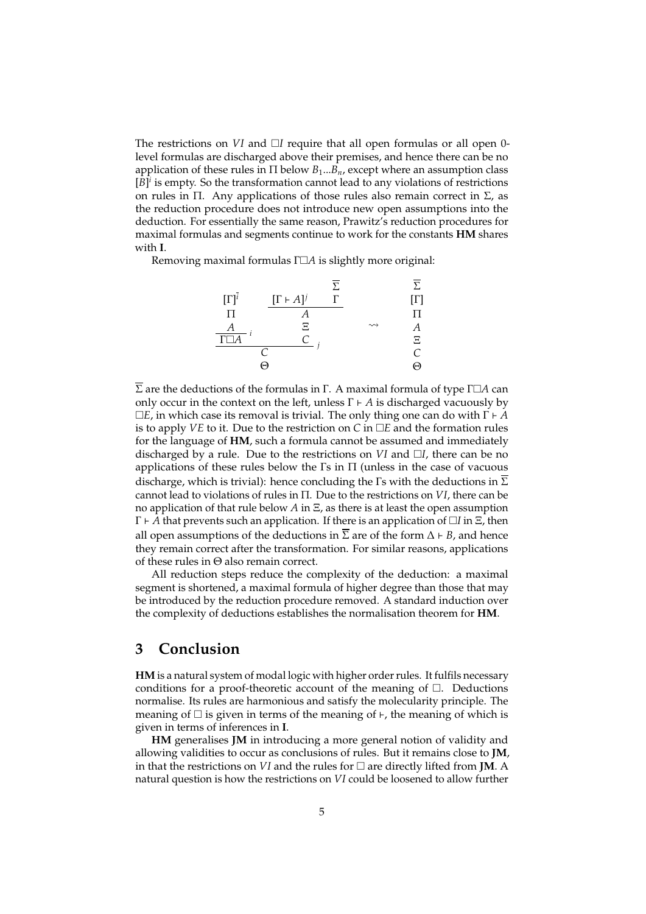The restrictions on  $VI$  and  $II$  require that all open formulas or all open 0level formulas are discharged above their premises, and hence there can be no application of these rules in  $\Pi$  below  $B_1...B_n$ , except where an assumption class  $[B]$ <sup>*i*</sup> is empty. So the transformation cannot lead to any violations of restrictions on rules in Π. Any applications of those rules also remain correct in  $Σ$ , as the reduction procedure does not introduce new open assumptions into the deduction. For essentially the same reason, Prawitz's reduction procedures for maximal formulas and segments continue to work for the constants **HM** shares with **I**.

Removing maximal formulas Γ*A* is slightly more original:



Σ are the deductions of the formulas in Γ. A maximal formula of type Γ□*A* can only occur in the context on the left, unless  $\Gamma \vdash A$  is discharged vacuously by  $\square E$ , in which case its removal is trivial. The only thing one can do with  $\Gamma \vdash A$ is to apply *VE* to it. Due to the restriction on *C* in  $\Box E$  and the formation rules for the language of **HM**, such a formula cannot be assumed and immediately discharged by a rule. Due to the restrictions on  $VI$  and  $\Box I$ , there can be no applications of these rules below the  $\Gamma$ s in  $\Pi$  (unless in the case of vacuous discharge, which is trivial): hence concluding the Γs with the deductions in  $\overline{\Sigma}$ cannot lead to violations of rules in Π. Due to the restrictions on *VI*, there can be no application of that rule below *A* in Ξ, as there is at least the open assumption  $\Gamma \vdash A$  that prevents such an application. If there is an application of  $\Box I$  in  $\Xi$ , then all open assumptions of the deductions in  $\overline{\Sigma}$  are of the form  $\Delta \vdash B$ , and hence they remain correct after the transformation. For similar reasons, applications of these rules in Θ also remain correct.

All reduction steps reduce the complexity of the deduction: a maximal segment is shortened, a maximal formula of higher degree than those that may be introduced by the reduction procedure removed. A standard induction over the complexity of deductions establishes the normalisation theorem for **HM**.

#### **3 Conclusion**

**HM** is a natural system of modal logic with higher order rules. It fulfils necessary conditions for a proof-theoretic account of the meaning of  $\Box$ . Deductions normalise. Its rules are harmonious and satisfy the molecularity principle. The meaning of  $\Box$  is given in terms of the meaning of  $\vdash$ , the meaning of which is given in terms of inferences in **I**.

**HM** generalises **JM** in introducing a more general notion of validity and allowing validities to occur as conclusions of rules. But it remains close to **JM**, in that the restrictions on *VI* and the rules for  $\Box$  are directly lifted from **JM**. A natural question is how the restrictions on *VI* could be loosened to allow further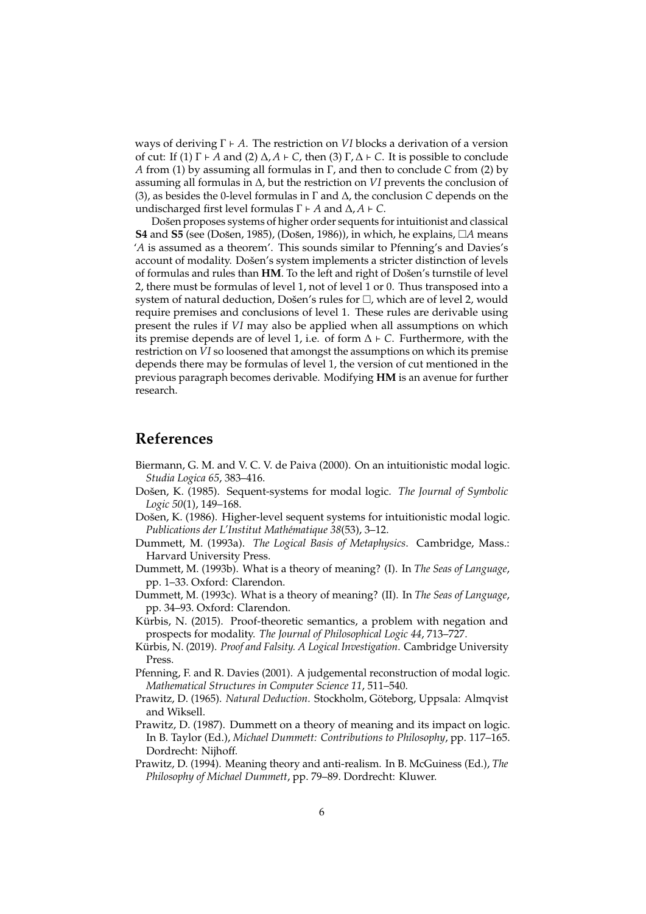ways of deriving Γ ` *A*. The restriction on *VI* blocks a derivation of a version of cut: If (1) Γ  $\vdash$  *A* and (2) Δ, *A*  $\vdash$  *C*, then (3) Γ, Δ  $\vdash$  *C*. It is possible to conclude *A* from (1) by assuming all formulas in Γ, and then to conclude *C* from (2) by assuming all formulas in ∆, but the restriction on *VI* prevents the conclusion of (3), as besides the 0-level formulas in Γ and ∆, the conclusion *C* depends on the undischarged first level formulas  $Γ$  *+ A* and  $Δ$ ,  $A$  *+ C*.

Došen proposes systems of higher order sequents for intuitionist and classical **S4** and **S5** (see (Došen, 1985), (Došen, 1986)), in which, he explains,  $\Box A$  means '*A* is assumed as a theorem'. This sounds similar to Pfenning's and Davies's account of modality. Došen's system implements a stricter distinction of levels of formulas and rules than HM. To the left and right of Došen's turnstile of level 2, there must be formulas of level 1, not of level 1 or 0. Thus transposed into a system of natural deduction, Došen's rules for  $\Box$ , which are of level 2, would require premises and conclusions of level 1. These rules are derivable using present the rules if *VI* may also be applied when all assumptions on which its premise depends are of level 1, i.e. of form  $\Delta \vdash C$ . Furthermore, with the restriction on *VI* so loosened that amongst the assumptions on which its premise depends there may be formulas of level 1, the version of cut mentioned in the previous paragraph becomes derivable. Modifying **HM** is an avenue for further research.

### **References**

- Biermann, G. M. and V. C. V. de Paiva (2000). On an intuitionistic modal logic. *Studia Logica 65*, 383–416.
- Došen, K. (1985). Sequent-systems for modal logic. The Journal of Symbolic *Logic 50*(1), 149–168.
- Došen, K. (1986). Higher-level sequent systems for intuitionistic modal logic. *Publications der L'Institut Math´ematique 38*(53), 3–12.
- Dummett, M. (1993a). *The Logical Basis of Metaphysics*. Cambridge, Mass.: Harvard University Press.
- Dummett, M. (1993b). What is a theory of meaning? (I). In *The Seas of Language*, pp. 1–33. Oxford: Clarendon.
- Dummett, M. (1993c). What is a theory of meaning? (II). In *The Seas of Language*, pp. 34–93. Oxford: Clarendon.
- Kürbis, N. (2015). Proof-theoretic semantics, a problem with negation and prospects for modality. *The Journal of Philosophical Logic 44*, 713–727.
- Kürbis, N. (2019). Proof and Falsity. A Logical Investigation. Cambridge University Press.
- Pfenning, F. and R. Davies (2001). A judgemental reconstruction of modal logic. *Mathematical Structures in Computer Science 11*, 511–540.
- Prawitz, D. (1965). *Natural Deduction*. Stockholm, Göteborg, Uppsala: Almqvist and Wiksell.
- Prawitz, D. (1987). Dummett on a theory of meaning and its impact on logic. In B. Taylor (Ed.), *Michael Dummett: Contributions to Philosophy*, pp. 117–165. Dordrecht: Nijhoff.
- Prawitz, D. (1994). Meaning theory and anti-realism. In B. McGuiness (Ed.), *The Philosophy of Michael Dummett*, pp. 79–89. Dordrecht: Kluwer.